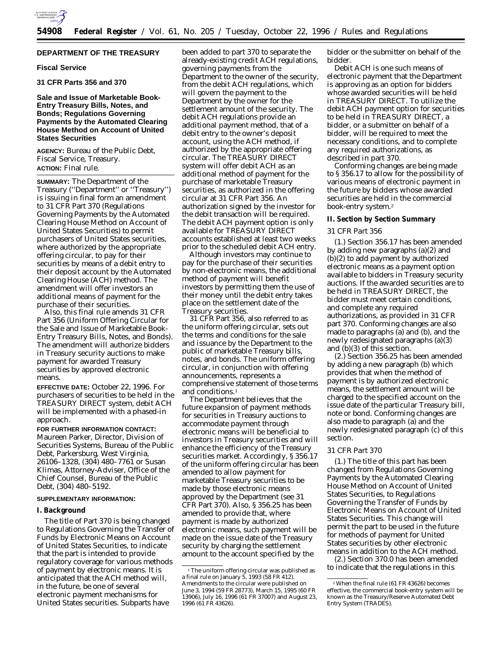

# **DEPARTMENT OF THE TREASURY**

## **Fiscal Service**

**31 CFR Parts 356 and 370**

# **Sale and Issue of Marketable Book-Entry Treasury Bills, Notes, and Bonds; Regulations Governing Payments by the Automated Clearing House Method on Account of United States Securities**

**AGENCY:** Bureau of the Public Debt, Fiscal Service, Treasury. **ACTION:** Final rule.

**SUMMARY:** The Department of the Treasury (''Department'' or ''Treasury'') is issuing in final form an amendment to 31 CFR Part 370 (Regulations Governing Payments by the Automated Clearing House Method on Account of United States Securities) to permit purchasers of United States securities, where authorized by the appropriate offering circular, to pay for their securities by means of a debit entry to their deposit account by the Automated Clearing House (ACH) method. The amendment will offer investors an additional means of payment for the purchase of their securities.

Also, this final rule amends 31 CFR Part 356 (Uniform Offering Circular for the Sale and Issue of Marketable Book-Entry Treasury Bills, Notes, and Bonds). The amendment will authorize bidders in Treasury security auctions to make payment for awarded Treasury securities by approved electronic means.

**EFFECTIVE DATE:** October 22, 1996. For purchasers of securities to be held in the TREASURY DIRECT system, debit ACH will be implemented with a phased-in approach.

**FOR FURTHER INFORMATION CONTACT:** Maureen Parker, Director, Division of Securities Systems, Bureau of the Public Debt, Parkersburg, West Virginia, 26106–1328, (304) 480–7761 or Susan Klimas, Attorney-Adviser, Office of the Chief Counsel, Bureau of the Public Debt, (304) 480–5192.

## **SUPPLEMENTARY INFORMATION:**

### **I. Background**

The title of Part 370 is being changed to Regulations Governing the Transfer of Funds by Electronic Means on Account of United States Securities, to indicate that the part is intended to provide regulatory coverage for various methods of payment by electronic means. It is anticipated that the ACH method will, in the future, be one of several electronic payment mechanisms for United States securities. Subparts have

been added to part 370 to separate the already-existing credit ACH regulations, governing payments from the Department to the owner of the security, from the debit ACH regulations, which will govern the payment to the Department by the owner for the settlement amount of the security. The debit ACH regulations provide an additional payment method, that of a debit entry to the owner's deposit account, using the ACH method, if authorized by the appropriate offering circular. The TREASURY DIRECT system will offer debit ACH as an additional method of payment for the purchase of marketable Treasury securities, as authorized in the offering circular at 31 CFR Part 356. An authorization signed by the investor for the debit transaction will be required. The debit ACH payment option is only available for TREASURY DIRECT accounts established at least two weeks prior to the scheduled debit ACH entry.

Although investors may continue to pay for the purchase of their securities by non-electronic means, the additional method of payment will benefit investors by permitting them the use of their money until the debit entry takes place on the settlement date of the Treasury securities.

31 CFR Part 356, also referred to as the uniform offering circular, sets out the terms and conditions for the sale and issuance by the Department to the public of marketable Treasury bills, notes, and bonds. The uniform offering circular, in conjunction with offering announcements, represents a comprehensive statement of those terms and conditions.1

The Department believes that the future expansion of payment methods for securities in Treasury auctions to accommodate payment through electronic means will be beneficial to investors in Treasury securities and will enhance the efficiency of the Treasury securities market. Accordingly, § 356.17 of the uniform offering circular has been amended to allow payment for marketable Treasury securities to be made by those electronic means approved by the Department (see 31 CFR Part 370). Also, § 356.25 has been amended to provide that, where payment is made by authorized electronic means, such payment will be made on the issue date of the Treasury security by charging the settlement amount to the account specified by the

bidder or the submitter on behalf of the bidder.

Debit ACH is one such means of electronic payment that the Department is approving as an option for bidders whose awarded securities will be held in TREASURY DIRECT. To utilize the debit ACH payment option for securities to be held in TREASURY DIRECT, a bidder, or a submitter on behalf of a bidder, will be required to meet the necessary conditions, and to complete any required authorizations, as described in part 370.

Conforming changes are being made to § 356.17 to allow for the possibility of various means of electronic payment in the future by bidders whose awarded securities are held in the commercial book-entry system.2

### **II. Section by Section Summary**

### *31 CFR Part 356*

(1.) Section 356.17 has been amended by adding new paragraphs (a)(2) and (b)(2) to add payment by authorized electronic means as a payment option available to bidders in Treasury security auctions. If the awarded securities are to be held in TREASURY DIRECT, the bidder must meet certain conditions, and complete any required authorizations, as provided in 31 CFR part 370. Conforming changes are also made to paragraphs (a) and (b), and the newly redesignated paragraphs (a)(3) and (b)(3) of this section.

(2.) Section 356.25 has been amended by adding a new paragraph (b) which provides that when the method of payment is by authorized electronic means, the settlement amount will be charged to the specified account on the issue date of the particular Treasury bill, note or bond. Conforming changes are also made to paragraph (a) and the newly redesignated paragraph (c) of this section.

### *31 CFR Part 370*

(1.) The title of this part has been changed from Regulations Governing Payments by the Automated Clearing House Method on Account of United States Securities, to Regulations Governing the Transfer of Funds by Electronic Means on Account of United States Securities. This change will permit the part to be used in the future for methods of payment for United States securities by other electronic means in addition to the ACH method.

(2.) Section 370.0 has been amended to indicate that the regulations in this

<sup>&</sup>lt;sup>1</sup>The uniform offering circular was published as a final rule on January 5, 1993 (58 FR 412). Amendments to the circular were published on June 3, 1994 (59 FR 28773), March 15, 1995 (60 FR 13906), July 16, 1996 (61 FR 37007) and August 23, 1996 (61 FR 43626).

<sup>2</sup>When the final rule (61 FR 43626) becomes effective, the commercial book-entry system will be known as the Treasury/Reserve Automated Debt Entry System (TRADES).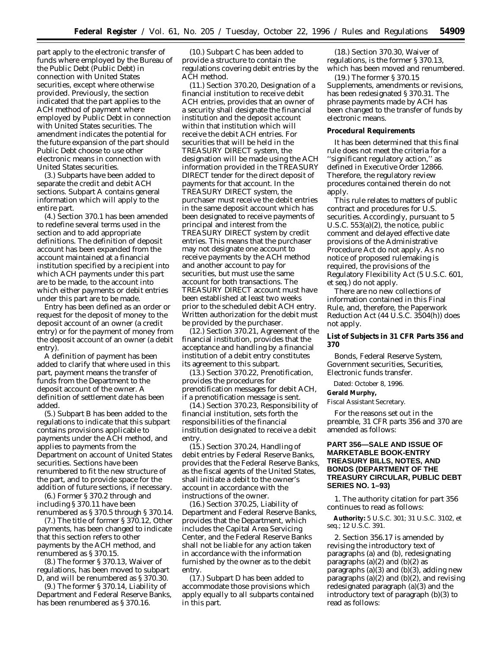part apply to the electronic transfer of funds where employed by the Bureau of the Public Debt (Public Debt) in connection with United States securities, except where otherwise provided. Previously, the section indicated that the part applies to the ACH method of payment where employed by Public Debt in connection with United States securities. The amendment indicates the potential for the future expansion of the part should Public Debt choose to use other electronic means in connection with United States securities.

(3.) Subparts have been added to separate the credit and debit ACH sections. Subpart A contains general information which will apply to the entire part.

(4.) Section 370.1 has been amended to redefine several terms used in the section and to add appropriate definitions. The definition of deposit account has been expanded from the account maintained at a financial institution specified by a recipient into which ACH payments under this part are to be made, to the account into which either payments or debit entries under this part are to be made.

Entry has been defined as an order or request for the deposit of money to the deposit account of an owner (a credit entry) or for the payment of money from the deposit account of an owner (a debit entry).

A definition of payment has been added to clarify that where used in this part, payment means the transfer of funds from the Department to the deposit account of the owner. A definition of settlement date has been added.

(5.) Subpart B has been added to the regulations to indicate that this subpart contains provisions applicable to payments under the ACH method, and applies to payments from the Department on account of United States securities. Sections have been renumbered to fit the new structure of the part, and to provide space for the addition of future sections, if necessary.

(6.) Former § 370.2 through and including § 370.11 have been renumbered as § 370.5 through § 370.14.

(7.) The title of former § 370.12, Other payments, has been changed to indicate that this section refers to other payments by the ACH method, and renumbered as § 370.15.

(8.) The former § 370.13, Waiver of regulations, has been moved to subpart D, and will be renumbered as § 370.30.

(9.) The former § 370.14, Liability of Department and Federal Reserve Banks, has been renumbered as § 370.16.

(10.) Subpart C has been added to provide a structure to contain the regulations covering debit entries by the ACH method.

(11.) Section 370.20, Designation of a financial institution to receive debit ACH entries, provides that an owner of a security shall designate the financial institution and the deposit account within that institution which will receive the debit ACH entries. For securities that will be held in the TREASURY DIRECT system, the designation will be made using the ACH information provided in the TREASURY DIRECT tender for the direct deposit of payments for that account. In the TREASURY DIRECT system, the purchaser must receive the debit entries in the same deposit account which has been designated to receive payments of principal and interest from the TREASURY DIRECT system by credit entries. This means that the purchaser may not designate one account to receive payments by the ACH method and another account to pay for securities, but must use the same account for both transactions. The TREASURY DIRECT account must have been established at least two weeks prior to the scheduled debit ACH entry. Written authorization for the debit must be provided by the purchaser.

(12.) Section 370.21, Agreement of the financial institution, provides that the acceptance and handling by a financial institution of a debit entry constitutes its agreement to this subpart.

(13.) Section 370.22, Prenotification, provides the procedures for prenotification messages for debit ACH, if a prenotification message is sent.

(14.) Section 370.23, Responsibility of financial institution, sets forth the responsibilities of the financial institution designated to receive a debit entry.

(15.) Section 370.24, Handling of debit entries by Federal Reserve Banks, provides that the Federal Reserve Banks, as the fiscal agents of the United States, shall initiate a debit to the owner's account in accordance with the instructions of the owner.

(16.) Section 370.25, Liability of Department and Federal Reserve Banks, provides that the Department, which includes the Capital Area Servicing Center, and the Federal Reserve Banks shall not be liable for any action taken in accordance with the information furnished by the owner as to the debit entry.

(17.) Subpart D has been added to accommodate those provisions which apply equally to all subparts contained in this part.

(18.) Section 370.30, Waiver of regulations, is the former § 370.13, which has been moved and renumbered.

(19.) The former § 370.15 Supplements, amendments or revisions, has been redesignated § 370.31. The phrase payments made by ACH has been changed to the transfer of funds by electronic means.

#### **Procedural Requirements**

It has been determined that this final rule does not meet the criteria for a ''significant regulatory action,'' as defined in Executive Order 12866. Therefore, the regulatory review procedures contained therein do not apply.

This rule relates to matters of public contract and procedures for U.S. securities. Accordingly, pursuant to 5 U.S.C. 553(a)(2), the notice, public comment and delayed effective date provisions of the Administrative Procedure Act do not apply. As no notice of proposed rulemaking is required, the provisions of the Regulatory Flexibility Act (5 U.S.C. 601, *et seq.*) do not apply.

There are no new collections of information contained in this Final Rule, and, therefore, the Paperwork Reduction Act (44 U.S.C. 3504(h)) does not apply.

**List of Subjects in 31 CFR Parts 356 and 370**

Bonds, Federal Reserve System, Government securities, Securities, Electronic funds transfer.

Dated: October 8, 1996.

### **Gerald Murphy,**

*Fiscal Assistant Secretary.*

For the reasons set out in the preamble, 31 CFR parts 356 and 370 are amended as follows:

# **PART 356—SALE AND ISSUE OF MARKETABLE BOOK-ENTRY TREASURY BILLS, NOTES, AND BONDS (DEPARTMENT OF THE TREASURY CIRCULAR, PUBLIC DEBT SERIES NO. 1–93)**

1. The authority citation for part 356 continues to read as follows:

**Authority:** 5 U.S.C. 301; 31 U.S.C. 3102, *et seq.*; 12 U.S.C. 391.

2. Section 356.17 is amended by revising the introductory text of paragraphs (a) and (b), redesignating paragraphs  $(a)(2)$  and  $(b)(2)$  as paragraphs  $(a)(3)$  and  $(b)(3)$ , adding new paragraphs  $(a)(2)$  and  $(b)(2)$ , and revising redesignated paragraph (a)(3) and the introductory text of paragraph (b)(3) to read as follows: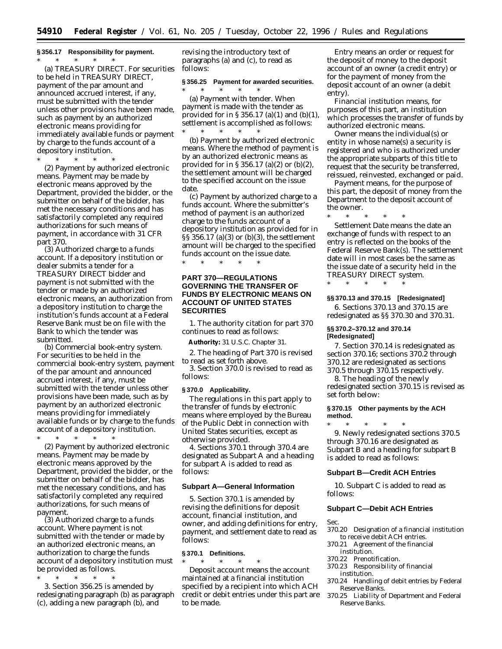# **§ 356.17 Responsibility for payment.**

\* \* \* \* \* (a) *TREASURY DIRECT.* For securities to be held in TREASURY DIRECT, payment of the par amount and announced accrued interest, if any, must be submitted with the tender unless other provisions have been made, such as payment by an authorized electronic means providing for immediately available funds or payment by charge to the funds account of a depository institution.

 $*$  \* \*

(2) Payment by authorized electronic means. Payment may be made by electronic means approved by the Department, provided the bidder, or the submitter on behalf of the bidder, has met the necessary conditions and has satisfactorily completed any required authorizations for such means of payment, in accordance with 31 CFR part 370.

(3) Authorized charge to a funds account. If a depository institution or dealer submits a tender for a TREASURY DIRECT bidder and payment is not submitted with the tender or made by an authorized electronic means, an authorization from a depository institution to charge the institution's funds account at a Federal Reserve Bank must be on file with the Bank to which the tender was submitted.

(b) Commercial book-entry system. For securities to be held in the commercial book-entry system, payment of the par amount and announced accrued interest, if any, must be submitted with the tender unless other provisions have been made, such as by payment by an authorized electronic means providing for immediately available funds or by charge to the funds account of a depository institution.

\* \* \* \* \*

(2) Payment by authorized electronic means. Payment may be made by electronic means approved by the Department, provided the bidder, or the submitter on behalf of the bidder, has met the necessary conditions, and has satisfactorily completed any required authorizations, for such means of payment.

(3) Authorized charge to a funds account. Where payment is not submitted with the tender or made by an authorized electronic means, an authorization to charge the funds account of a depository institution must be provided as follows.

\* \* \* \* \*

3. Section 356.25 is amended by redesignating paragraph (b) as paragraph (c), adding a new paragraph (b), and

revising the introductory text of paragraphs (a) and (c), to read as follows:

## **§ 356.25 Payment for awarded securities.**

\* \* \* \* \* (a) Payment with tender. When payment is made with the tender as provided for in § 356.17 (a)(1) and (b)(1), settlement is accomplished as follows:

\* \* \* \* \* (b) Payment by authorized electronic means. Where the method of payment is by an authorized electronic means as provided for in § 356.17 (a)(2) or (b)(2), the settlement amount will be charged to the specified account on the issue date.

(c) Payment by authorized charge to a funds account. Where the submitter's method of payment is an authorized charge to the funds account of a depository institution as provided for in §§ 356.17 (a)(3) or (b)(3), the settlement amount will be charged to the specified funds account on the issue date.

\* \* \* \* \*

# **PART 370—REGULATIONS GOVERNING THE TRANSFER OF FUNDS BY ELECTRONIC MEANS ON ACCOUNT OF UNITED STATES SECURITIES**

1. The authority citation for part 370 continues to read as follows:

**Authority:** 31 U.S.C. Chapter 31.

2. The heading of Part 370 is revised to read as set forth above.

3. Section 370.0 is revised to read as follows:

#### **§ 370.0 Applicability.**

The regulations in this part apply to the transfer of funds by electronic means where employed by the Bureau of the Public Debt in connection with United States securities, except as otherwise provided.

4. Sections 370.1 through 370.4 are designated as Subpart A and a heading for subpart A is added to read as follows:

## **Subpart A—General Information**

5. Section 370.1 is amended by revising the definitions for deposit account, financial institution, and owner, and adding definitions for entry, payment, and settlement date to read as follows:

#### **§ 370.1 Definitions.**

\* \* \* \* \* *Deposit account* means the account maintained at a financial institution specified by a recipient into which ACH credit or debit entries under this part are to be made.

*Entry* means an order or request for the deposit of money to the deposit account of an owner (a credit entry) or for the payment of money from the deposit account of an owner (a debit entry).

*Financial institution* means, for purposes of this part, an institution which processes the transfer of funds by authorized electronic means.

*Owner* means the individual(s) or entity in whose name(s) a security is registered and who is authorized under the appropriate subparts of this title to request that the security be transferred, reissued, reinvested, exchanged or paid.

*Payment* means, for the purpose of this part, the deposit of money from the Department to the deposit account of the owner.

\* \* \* \* \* *Settlement Date* means the date an exchange of funds with respect to an entry is reflected on the books of the Federal Reserve Bank(s). The settlement date will in most cases be the same as the issue date of a security held in the TREASURY DIRECT system.

## **§§ 370.13 and 370.15 [Redesignated]**

6. Sections 370.13 and 370.15 are redesignated as §§ 370.30 and 370.31.

### **§§ 370.2–370.12 and 370.14 [Redesignated]**

\* \* \* \* \*

7. Section 370.14 is redesignated as section 370.16; sections 370.2 through 370.12 are redesignated as sections 370.5 through 370.15 respectively.

8. The heading of the newly redesignated section 370.15 is revised as set forth below:

## **§ 370.15 Other payments by the ACH method.**

\* \* \* \* \* 9. Newly redesignated sections 370.5 through 370.16 are designated as Subpart B and a heading for subpart B is added to read as follows:

### **Subpart B—Credit ACH Entries**

10. Subpart C is added to read as follows:

### **Subpart C—Debit ACH Entries**

Sec.

- 370.20 Designation of a financial institution to receive debit ACH entries.
- 370.21 Agreement of the financial institution.
- 370.22 Prenotification.
- 370.23 Responsibility of financial institution.
- 370.24 Handling of debit entries by Federal Reserve Banks.
- 370.25 Liability of Department and Federal Reserve Banks.